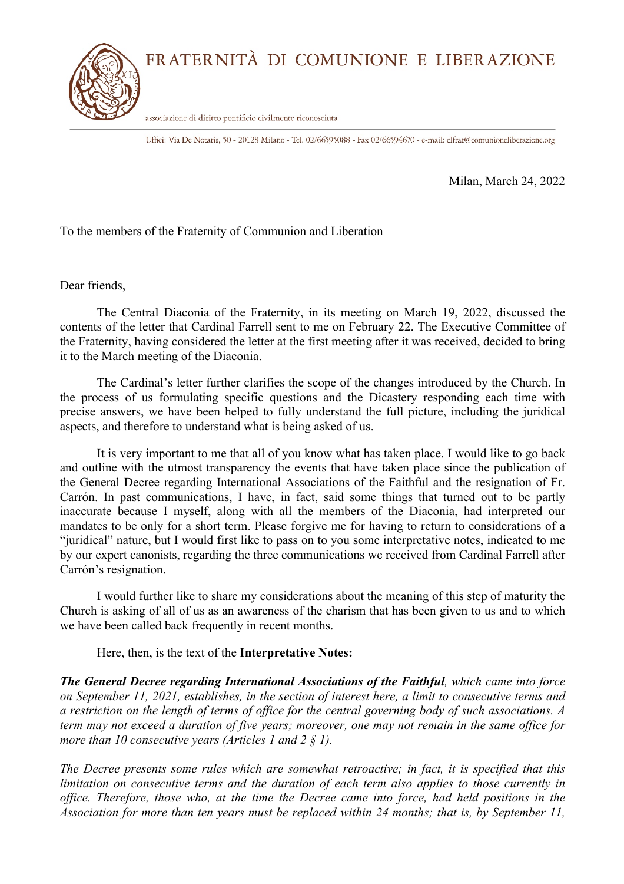FRATERNITÀ DI COMUNIONE E LIBERAZIONE



associazione di diritto pontificio civilmente riconosciuta

Uffici: Via De Notaris, 50 - 20128 Milano - Tel. 02/66595088 - Fax 02/66594670 - e-mail: clfrat@comunioneliberazione.org

Milan, March 24, 2022

To the members of the Fraternity of Communion and Liberation

Dear friends,

The Central Diaconia of the Fraternity, in its meeting on March 19, 2022, discussed the contents of the letter that Cardinal Farrell sent to me on February 22. The Executive Committee of the Fraternity, having considered the letter at the first meeting after it was received, decided to bring it to the March meeting of the Diaconia.

The Cardinal's letter further clarifies the scope of the changes introduced by the Church. In the process of us formulating specific questions and the Dicastery responding each time with precise answers, we have been helped to fully understand the full picture, including the juridical aspects, and therefore to understand what is being asked of us.

It is very important to me that all of you know what has taken place. I would like to go back and outline with the utmost transparency the events that have taken place since the publication of the General Decree regarding International Associations of the Faithful and the resignation of Fr. Carrón. In past communications, I have, in fact, said some things that turned out to be partly inaccurate because I myself, along with all the members of the Diaconia, had interpreted our mandates to be only for a short term. Please forgive me for having to return to considerations of a "juridical" nature, but I would first like to pass on to you some interpretative notes, indicated to me by our expert canonists, regarding the three communications we received from Cardinal Farrell after Carrón's resignation.

I would further like to share my considerations about the meaning of this step of maturity the Church is asking of all of us as an awareness of the charism that has been given to us and to which we have been called back frequently in recent months.

Here, then, is the text of the **Interpretative Notes:**

*The General Decree regarding International Associations of the Faithful, which came into force on September 11, 2021, establishes, in the section of interest here, a limit to consecutive terms and a restriction on the length of terms of office for the central governing body of such associations. A term may not exceed a duration of five years; moreover, one may not remain in the same office for more than 10 consecutive years (Articles 1 and 2 § 1).*

*The Decree presents some rules which are somewhat retroactive; in fact, it is specified that this limitation on consecutive terms and the duration of each term also applies to those currently in office. Therefore, those who, at the time the Decree came into force, had held positions in the Association for more than ten years must be replaced within 24 months; that is, by September 11,*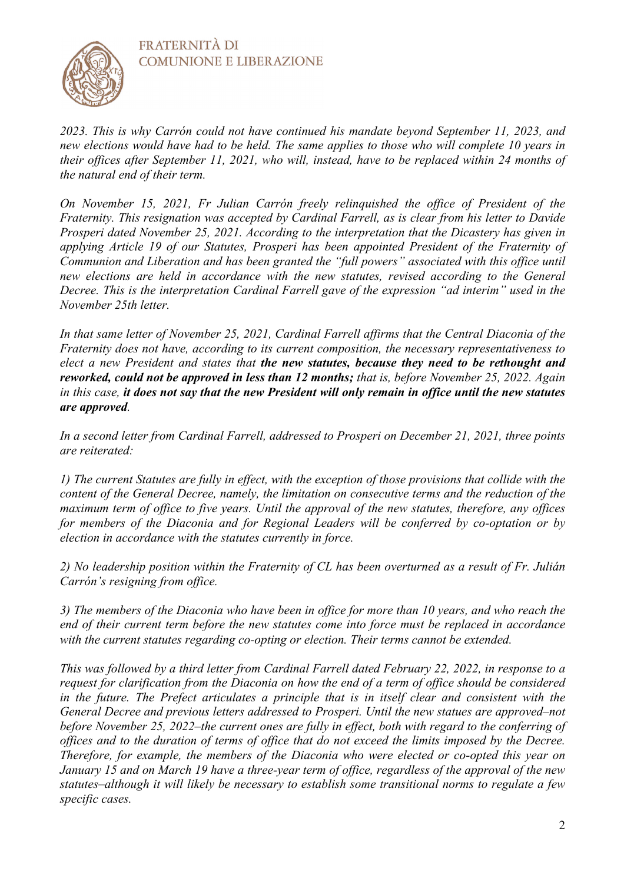**FRATERNITÀ DI COMUNIONE E LIBERAZIONE** 



*2023. This is why Carrón could not have continued his mandate beyond September 11, 2023, and new elections would have had to be held. The same applies to those who will complete 10 years in their offices after September 11, 2021, who will, instead, have to be replaced within 24 months of the natural end of their term.*

*On November 15, 2021, Fr Julian Carrón freely relinquished the office of President of the Fraternity. This resignation was accepted by Cardinal Farrell, as is clear from his letter to Davide Prosperi dated November 25, 2021. According to the interpretation that the Dicastery has given in applying Article 19 of our Statutes, Prosperi has been appointed President of the Fraternity of Communion and Liberation and has been granted the "full powers" associated with this office until new elections are held in accordance with the new statutes, revised according to the General Decree. This is the interpretation Cardinal Farrell gave of the expression "ad interim" used in the November 25th letter.*

*In that same letter of November 25, 2021, Cardinal Farrell affirms that the Central Diaconia of the Fraternity does not have, according to its current composition, the necessary representativeness to elect a new President and states that the new statutes, because they need to be rethought and reworked, could not be approved in less than 12 months; that is, before November 25, 2022. Again in this case, it does not say that the new President will only remain in office until the new statutes are approved.*

*In a second letter from Cardinal Farrell, addressed to Prosperi on December 21, 2021, three points are reiterated:*

*1) The current Statutes are fully in effect, with the exception of those provisions that collide with the content of the General Decree, namely, the limitation on consecutive terms and the reduction of the maximum term of office to five years. Until the approval of the new statutes, therefore, any offices for members of the Diaconia and for Regional Leaders will be conferred by co-optation or by election in accordance with the statutes currently in force.*

*2) No leadership position within the Fraternity of CL has been overturned as a result of Fr. Julián Carrón's resigning from office.*

*3) The members of the Diaconia who have been in office for more than 10 years, and who reach the end of their current term before the new statutes come into force must be replaced in accordance with the current statutes regarding co-opting or election. Their terms cannot be extended.*

*This was followed by a third letter from Cardinal Farrell dated February 22, 2022, in response to a request for clarification from the Diaconia on how the end of a term of office should be considered in the future. The Prefect articulates a principle that is in itself clear and consistent with the General Decree and previous letters addressed to Prosperi. Until the new statues are approved–not before November 25, 2022–the current ones are fully in effect, both with regard to the conferring of offices and to the duration of terms of office that do not exceed the limits imposed by the Decree. Therefore, for example, the members of the Diaconia who were elected or co-opted this year on January 15 and on March 19 have a three-year term of office, regardless of the approval of the new statutes–although it will likely be necessary to establish some transitional norms to regulate a few specific cases.*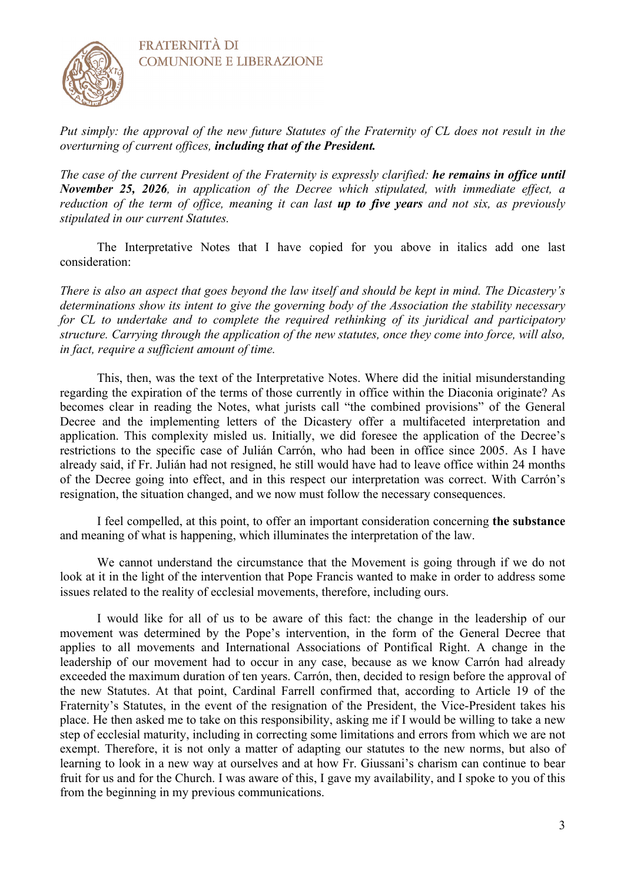



*Put simply: the approval of the new future Statutes of the Fraternity of CL does not result in the overturning of current offices, including that of the President.*

*The case of the current President of the Fraternity is expressly clarified: he remains in office until November 25, 2026, in application of the Decree which stipulated, with immediate effect, a reduction of the term of office, meaning it can last up to five years and not six, as previously stipulated in our current Statutes.*

The Interpretative Notes that I have copied for you above in italics add one last consideration:

*There is also an aspect that goes beyond the law itself and should be kept in mind. The Dicastery's determinations show its intent to give the governing body of the Association the stability necessary for CL to undertake and to complete the required rethinking of its juridical and participatory structure. Carrying through the application of the new statutes, once they come into force, will also, in fact, require a sufficient amount of time.*

This, then, was the text of the Interpretative Notes. Where did the initial misunderstanding regarding the expiration of the terms of those currently in office within the Diaconia originate? As becomes clear in reading the Notes, what jurists call "the combined provisions" of the General Decree and the implementing letters of the Dicastery offer a multifaceted interpretation and application. This complexity misled us. Initially, we did foresee the application of the Decree's restrictions to the specific case of Julián Carrón, who had been in office since 2005. As I have already said, if Fr. Julián had not resigned, he still would have had to leave office within 24 months of the Decree going into effect, and in this respect our interpretation was correct. With Carrón's resignation, the situation changed, and we now must follow the necessary consequences.

I feel compelled, at this point, to offer an important consideration concerning **the substance** and meaning of what is happening, which illuminates the interpretation of the law.

We cannot understand the circumstance that the Movement is going through if we do not look at it in the light of the intervention that Pope Francis wanted to make in order to address some issues related to the reality of ecclesial movements, therefore, including ours.

I would like for all of us to be aware of this fact: the change in the leadership of our movement was determined by the Pope's intervention, in the form of the General Decree that applies to all movements and International Associations of Pontifical Right. A change in the leadership of our movement had to occur in any case, because as we know Carrón had already exceeded the maximum duration of ten years. Carrón, then, decided to resign before the approval of the new Statutes. At that point, Cardinal Farrell confirmed that, according to Article 19 of the Fraternity's Statutes, in the event of the resignation of the President, the Vice-President takes his place. He then asked me to take on this responsibility, asking me if I would be willing to take a new step of ecclesial maturity, including in correcting some limitations and errors from which we are not exempt. Therefore, it is not only a matter of adapting our statutes to the new norms, but also of learning to look in a new way at ourselves and at how Fr. Giussani's charism can continue to bear fruit for us and for the Church. I was aware of this, I gave my availability, and I spoke to you of this from the beginning in my previous communications.